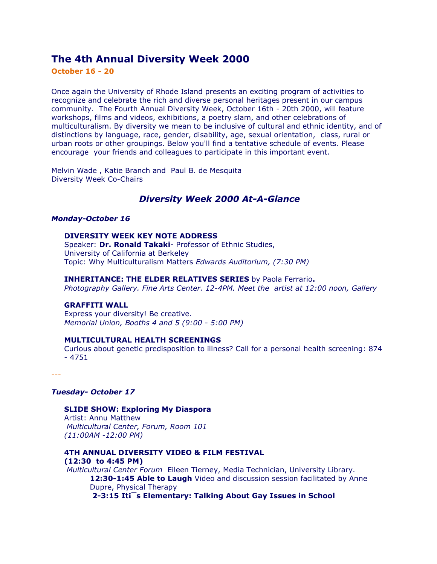# **The 4th Annual Diversity Week 2000**

**October 16 - 20**

Once again the University of Rhode Island presents an exciting program of activities to recognize and celebrate the rich and diverse personal heritages present in our campus community. The Fourth Annual Diversity Week, October 16th - 20th 2000, will feature workshops, films and videos, exhibitions, a poetry slam, and other celebrations of multiculturalism. By diversity we mean to be inclusive of cultural and ethnic identity, and of distinctions by language, race, gender, disability, age, sexual orientation, class, rural or urban roots or other groupings. Below you'll find a tentative schedule of events. Please encourage your friends and colleagues to participate in this important event.

Melvin Wade , Katie Branch and Paul B. de Mesquita Diversity Week Co-Chairs

## *Diversity Week 2000 At-A-Glance*

#### *Monday-October 16*

## **DIVERSITY WEEK KEY NOTE ADDRESS**

Speaker: **Dr. Ronald Takaki**- Professor of Ethnic Studies, University of California at Berkeley Topic: Why Multiculturalism Matters *Edwards Auditorium, (7:30 PM)* 

### **INHERITANCE: THE ELDER RELATIVES SERIES** by Paola Ferrario**.**

*Photography Gallery. Fine Arts Center. 12-4PM. Meet the artist at 12:00 noon, Gallery* 

## **GRAFFITI WALL**

Express your diversity! Be creative. *Memorial Union, Booths 4 and 5 (9:00 - 5:00 PM)* 

#### **MULTICULTURAL HEALTH SCREENINGS**

Curious about genetic predisposition to illness? Call for a personal health screening: 874 - 4751

---

## *Tuesday- October 17*

**SLIDE SHOW: Exploring My Diaspora**  Artist: Annu Matthew *Multicultural Center, Forum, Room 101 (11:00AM -12:00 PM)*

**4TH ANNUAL DIVERSITY VIDEO & FILM FESTIVAL (12:30 to 4:45 PM)**  *Multicultural Center Forum*Eileen Tierney, Media Technician, University Library.

**12:30-1:45 Able to Laugh** Video and discussion session facilitated by Anne Dupre, Physical Therapy

**2-3:15 It¡¯s Elementary: Talking About Gay Issues in School**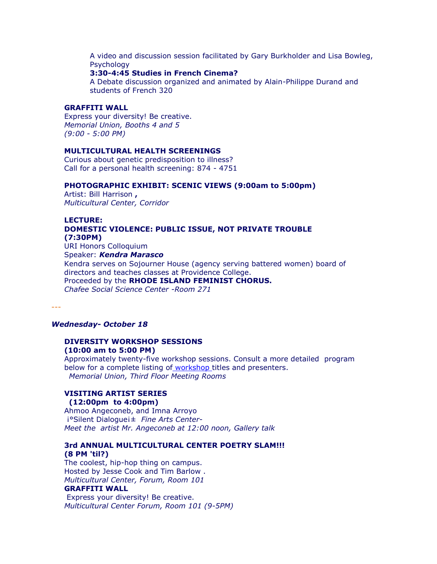A video and discussion session facilitated by Gary Burkholder and Lisa Bowleg, Psychology

#### **3:30-4:45 Studies in French Cinema?**

A Debate discussion organized and animated by Alain-Philippe Durand and students of French 320

### **GRAFFITI WALL**

Express your diversity! Be creative. *Memorial Union, Booths 4 and 5 (9:00 - 5:00 PM)*

### **MULTICULTURAL HEALTH SCREENINGS**

Curious about genetic predisposition to illness? Call for a personal health screening: 874 - 4751

#### **PHOTOGRAPHIC EXHIBIT: SCENIC VIEWS (9:00am to 5:00pm)**

Artist: Bill Harrison **,** *Multicultural Center, Corridor* 

## **LECTURE: DOMESTIC VIOLENCE: PUBLIC ISSUE, NOT PRIVATE TROUBLE (7:30PM)** URI Honors Colloquium Speaker: *Kendra Marasco*

Kendra serves on Sojourner House (agency serving battered women) board of directors and teaches classes at Providence College. Proceeded by the **RHODE ISLAND FEMINIST CHORUS.** *Chafee Social Science Center -Room 271* 

---

### *Wednesday- October 18*

## **DIVERSITY WORKSHOP SESSIONS (10:00 am to 5:00 PM)**

Approximately twenty-five workshop sessions. Consult a more detailed program below for a complete listing o[f workshop t](http://www.uri.edu/mcc/DiversityWeek/2000/index.html#workshop schedule)itles and presenters.*Memorial Union, Third Floor Meeting Rooms* 

# **VISITING ARTIST SERIES**

 **(12:00pm to 4:00pm)**  Ahmoo Angeconeb, and Imna Arroyo ¡°Silent Dialogue¡± *Fine Arts Center-Meet the artist Mr. Angeconeb at 12:00 noon, Gallery talk* 

### **3rd ANNUAL MULTICULTURAL CENTER POETRY SLAM!!! (8 PM 'til?)**

The coolest, hip-hop thing on campus. Hosted by Jesse Cook and Tim Barlow . *Multicultural Center, Forum, Room 101* **GRAFFITI WALL** 

Express your diversity! Be creative. *Multicultural Center Forum, Room 101 (9-5PM)*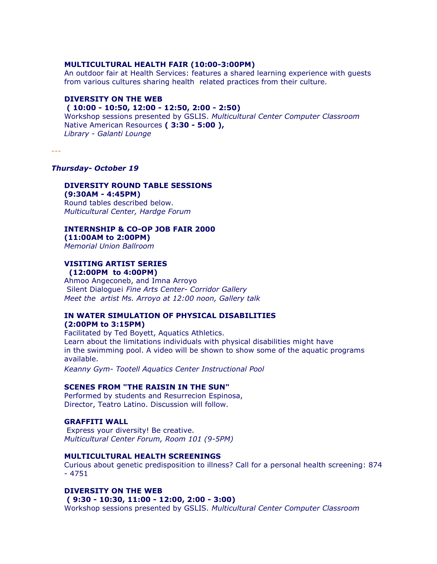### **MULTICULTURAL HEALTH FAIR (10:00-3:00PM)**

An outdoor fair at Health Services: features a shared learning experience with guests from various cultures sharing health related practices from their culture.

## **DIVERSITY ON THE WEB**

## **( 10:00 - 10:50, 12:00 - 12:50, 2:00 - 2:50)**

Workshop sessions presented by GSLIS. *Multicultural Center Computer Classroom*  Native American Resources **( 3:30 - 5:00 ),** *Library - Galanti Lounge*

---

## *Thursday- October 19*

### **DIVERSITY ROUND TABLE SESSIONS (9:30AM - 4:45PM)**

Round tables described below. *Multicultural Center, Hardge Forum* 

### **INTERNSHIP & CO-OP JOB FAIR 2000 (11:00AM to 2:00PM)**

*Memorial Union Ballroom* 

### **VISITING ARTIST SERIES (12:00PM to 4:00PM)**

Ahmoo Angeconeb, and Imna Arroyo Silent Dialogue¡ *Fine Arts Center- Corridor Gallery Meet the artist Ms. Arroyo at 12:00 noon, Gallery talk* 

### **IN WATER SIMULATION OF PHYSICAL DISABILITIES (2:00PM to 3:15PM)**

Facilitated by Ted Boyett, Aquatics Athletics. Learn about the limitations individuals with physical disabilities might have in the swimming pool. A video will be shown to show some of the aquatic programs available.

*Keanny Gym- Tootell Aquatics Center Instructional Pool* 

## **SCENES FROM "THE RAISIN IN THE SUN"**

Performed by students and Resurrecion Espinosa, Director, Teatro Latino. Discussion will follow.

### **GRAFFITI WALL**

Express your diversity! Be creative. *Multicultural Center Forum, Room 101 (9-5PM)* 

### **MULTICULTURAL HEALTH SCREENINGS**

Curious about genetic predisposition to illness? Call for a personal health screening: 874 - 4751

### **DIVERSITY ON THE WEB**

### **( 9:30 - 10:30, 11:00 - 12:00, 2:00 - 3:00)**

Workshop sessions presented by GSLIS. *Multicultural Center Computer Classroom*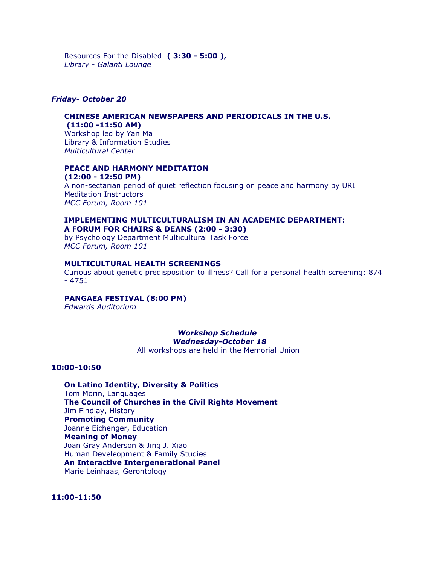Resources For the Disabled **( 3:30 - 5:00 ),** *Library - Galanti Lounge*

---

### *Friday- October 20*

## **CHINESE AMERICAN NEWSPAPERS AND PERIODICALS IN THE U.S.**

 **(11:00 -11:50 AM)**  Workshop led by Yan Ma Library & Information Studies *Multicultural Center* 

### **PEACE AND HARMONY MEDITATION (12:00 - 12:50 PM)**

A non-sectarian period of quiet reflection focusing on peace and harmony by URI Meditation Instructors *MCC Forum, Room 101*

## **IMPLEMENTING MULTICULTURALISM IN AN ACADEMIC DEPARTMENT: A FORUM FOR CHAIRS & DEANS (2:00 - 3:30)**

by Psychology Department Multicultural Task Force *MCC Forum, Room 101*

## **MULTICULTURAL HEALTH SCREENINGS**

Curious about genetic predisposition to illness? Call for a personal health screening: 874 - 4751

## **PANGAEA FESTIVAL (8:00 PM)**

*Edwards Auditorium* 

### *Workshop Schedule Wednesday-October 18*  All workshops are held in the Memorial Union

**10:00-10:50** 

**On Latino Identity, Diversity & Politics** Tom Morin, Languages **The Council of Churches in the Civil Rights Movement** Jim Findlay, History **Promoting Community** Joanne Eichenger, Education **Meaning of Money** Joan Gray Anderson & Jing J. Xiao Human Develeopment & Family Studies **An Interactive Intergenerational Panel**  Marie Leinhaas, Gerontology

**11:00-11:50**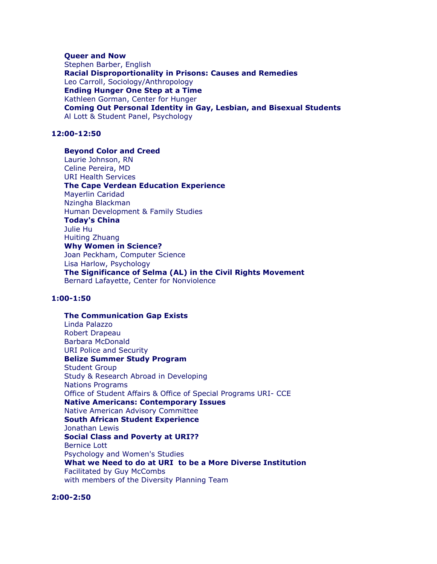### **Queer and Now**

Stephen Barber, English **Racial Disproportionality in Prisons: Causes and Remedies** Leo Carroll, Sociology/Anthropology **Ending Hunger One Step at a Time** Kathleen Gorman, Center for Hunger **Coming Out Personal Identity in Gay, Lesbian, and Bisexual Students**  Al Lott & Student Panel, Psychology

## **12:00-12:50**

### **Beyond Color and Creed**

Laurie Johnson, RN Celine Pereira, MD URI Health Services **The Cape Verdean Education Experience** Mayerlin Caridad Nzingha Blackman Human Development & Family Studies **Today's China** Julie Hu Huiting Zhuang **Why Women in Science?**  Joan Peckham, Computer Science Lisa Harlow, Psychology **The Significance of Selma (AL) in the Civil Rights Movement**  Bernard Lafayette, Center for Nonviolence

## **1:00-1:50**

**The Communication Gap Exists**  Linda Palazzo Robert Drapeau Barbara McDonald URI Police and Security **Belize Summer Study Program**  Student Group Study & Research Abroad in Developing Nations Programs Office of Student Affairs & Office of Special Programs URI- CCE **Native Americans: Contemporary Issues** Native American Advisory Committee **South African Student Experience**  Jonathan Lewis **Social Class and Poverty at URI??**  Bernice Lott Psychology and Women's Studies **What we Need to do at URI to be a More Diverse Institution**  Facilitated by Guy McCombs with members of the Diversity Planning Team

## **2:00-2:50**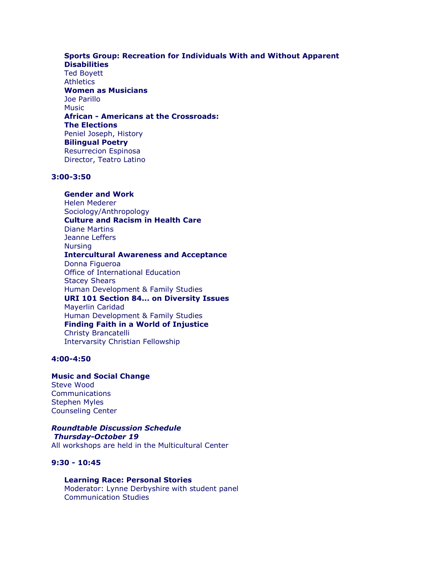### **Sports Group: Recreation for Individuals With and Without Apparent Disabilities**

Ted Boyett **Athletics Women as Musicians** Joe Parillo **Music African - Americans at the Crossroads: The Elections** Peniel Joseph, History **Bilingual Poetry**  Resurrecion Espinosa Director, Teatro Latino

## **3:00-3:50**

**Gender and Work**  Helen Mederer Sociology/Anthropology **Culture and Racism in Health Care** Diane Martins Jeanne Leffers **Nursing Intercultural Awareness and Acceptance** Donna Figueroa Office of International Education Stacey Shears Human Development & Family Studies **URI 101 Section 84... on Diversity Issues**  Mayerlin Caridad Human Development & Family Studies **Finding Faith in a World of Injustice**  Christy Brancatelli Intervarsity Christian Fellowship

### **4:00-4:50**

**Music and Social Change**  Steve Wood **Communications** Stephen Myles Counseling Center

## *Roundtable Discussion Schedule Thursday-October 19*

All workshops are held in the Multicultural Center

## **9:30 - 10:45**

**Learning Race: Personal Stories**  Moderator: Lynne Derbyshire with student panel Communication Studies